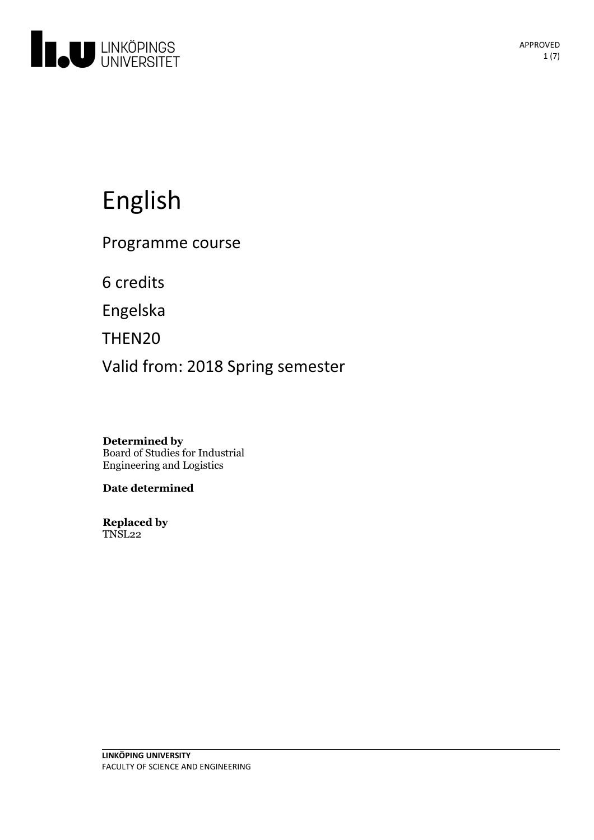

# English

Programme course

6 credits

Engelska

THEN20

Valid from: 2018 Spring semester

**Determined by** Board of Studies for Industrial Engineering and Logistics

**Date determined**

**Replaced by** TNSL22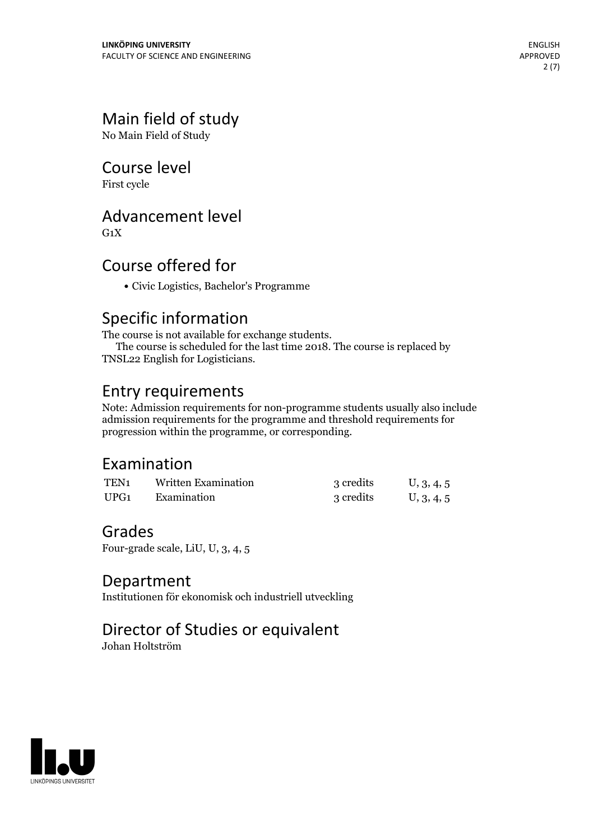# Main field of study

No Main Field of Study

# Course level

First cycle

# Advancement level

 $G_1X$ 

# Course offered for

Civic Logistics, Bachelor's Programme

Specific information<br>The course is not available for exchange students. The course is scheduled for the last time 2018. The course is replaced by TNSL22 English for Logisticians.

# Entry requirements

Note: Admission requirements for non-programme students usually also include admission requirements for the programme and threshold requirements for progression within the programme, or corresponding.

# Examination

| TEN <sub>1</sub> | Written Examination | 3 credits | U, 3, 4, 5 |
|------------------|---------------------|-----------|------------|
| UPG <sub>1</sub> | Examination         | 3 credits | U, 3, 4, 5 |

## Grades

Four-grade scale, LiU, U, 3, 4, 5

## Department

Institutionen för ekonomisk och industriell utveckling

# Director of Studies or equivalent

Johan Holtström

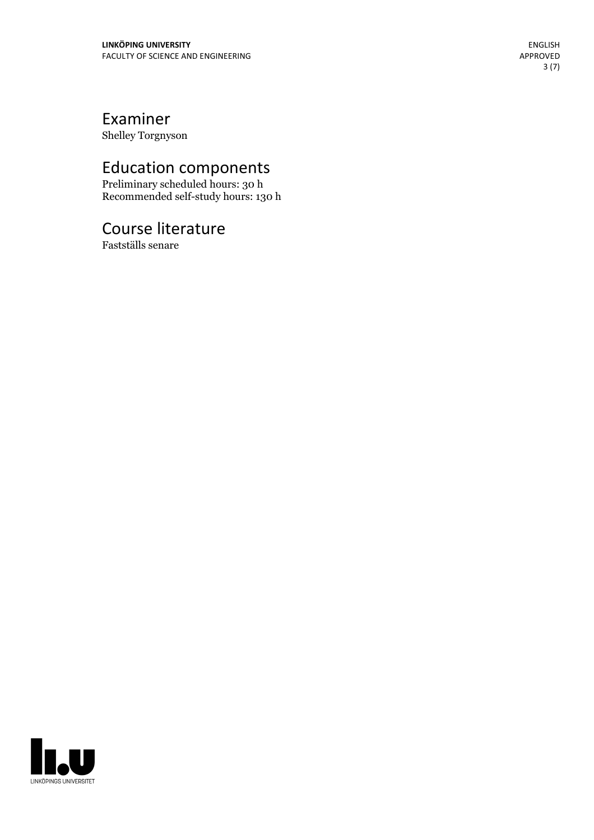# Examiner<br>Shelley Torgnyson

Education components Preliminary scheduled hours: <sup>30</sup> <sup>h</sup> Recommended self-study hours: <sup>130</sup> <sup>h</sup> ENGLISH<br>
FACULTY OF SCIENCE AND ENGINEERING<br>
FACULTY OF SCIENCE AND ENGINEERING<br>
SIPPROVED<br>
SIPPROVED<br> **Education components**<br>
Preliminary scheduled hours: 30 h<br>
Recommended self-study hours: 130 h<br> **COUTSE literature**<br>
Fa

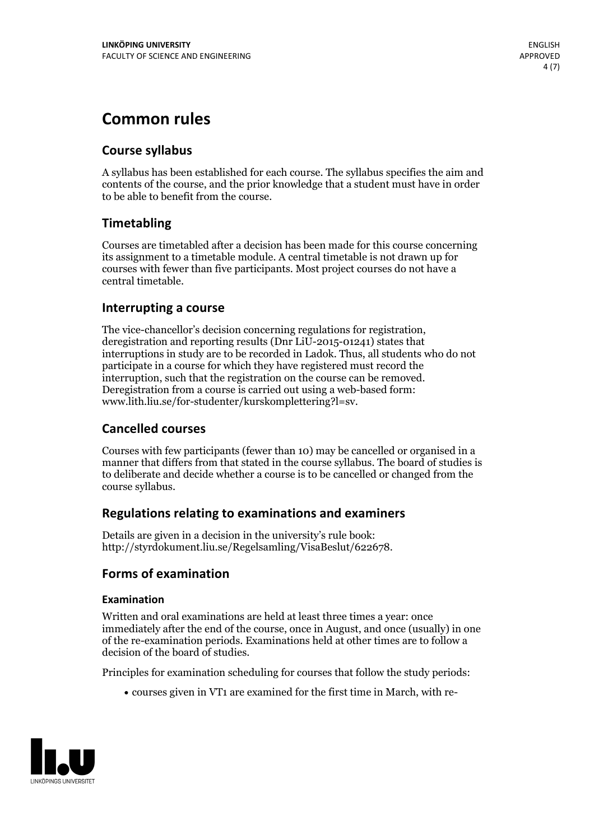# **Common rules**

### **Course syllabus**

A syllabus has been established for each course. The syllabus specifies the aim and contents of the course, and the prior knowledge that a student must have in order to be able to benefit from the course.

## **Timetabling**

Courses are timetabled after a decision has been made for this course concerning its assignment to a timetable module. A central timetable is not drawn up for courses with fewer than five participants. Most project courses do not have a central timetable.

#### **Interrupting a course**

The vice-chancellor's decision concerning regulations for registration, deregistration and reporting results (Dnr LiU-2015-01241) states that interruptions in study are to be recorded in Ladok. Thus, all students who do not participate in a course for which they have registered must record the interruption, such that the registration on the course can be removed. Deregistration from <sup>a</sup> course is carried outusing <sup>a</sup> web-based form: www.lith.liu.se/for-studenter/kurskomplettering?l=sv.

#### **Cancelled courses**

Courses with few participants (fewer than 10) may be cancelled or organised in a manner that differs from that stated in the course syllabus. The board of studies is to deliberate and decide whether a course is to be cancelled orchanged from the course syllabus.

#### **Regulations relatingto examinations and examiners**

Details are given in a decision in the university's rule book: http://styrdokument.liu.se/Regelsamling/VisaBeslut/622678.

#### **Forms of examination**

#### **Examination**

Written and oral examinations are held at least three times a year: once immediately after the end of the course, once in August, and once (usually) in one of the re-examination periods. Examinations held at other times are to follow a decision of the board of studies.

Principles for examination scheduling for courses that follow the study periods:

courses given in VT1 are examined for the first time in March, with re-

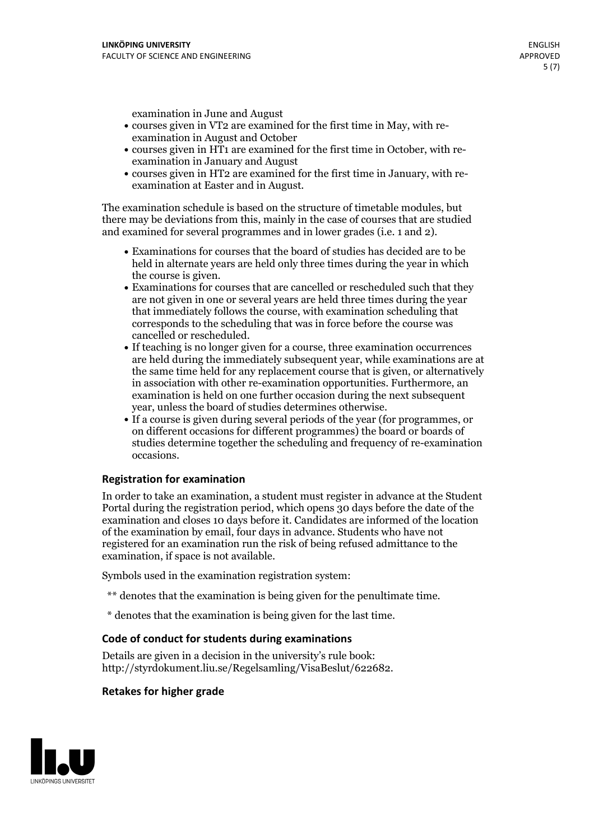examination in June and August

- courses given in VT2 are examined for the first time in May, with re-examination in August and October
- courses given in HT1 are examined for the first time in October, with re-examination in January and August
- courses given in HT2 are examined for the first time in January, with re-examination at Easter and in August.

The examination schedule is based on the structure of timetable modules, but there may be deviations from this, mainly in the case of courses that are studied and examined for several programmes and in lower grades (i.e. 1 and 2).

- Examinations for courses that the board of studies has decided are to be held in alternate years are held only three times during the year in which
- the course is given.<br>• Examinations for courses that are cancelled or rescheduled such that they are not given in one or several years are held three times during the year that immediately follows the course, with examination scheduling that corresponds to the scheduling that was in force before the course was cancelled or rescheduled.<br>• If teaching is no longer given for a course, three examination occurrences
- are held during the immediately subsequent year, while examinations are at the same time held for any replacement course that is given, or alternatively in association with other re-examination opportunities. Furthermore, an examination is held on one further occasion during the next subsequent year, unless the board of studies determines otherwise.<br>• If a course is given during several periods of the year (for programmes, or
- on different occasions for different programmes) the board orboards of studies determine together the scheduling and frequency of re-examination occasions.

#### **Registration for examination**

In order to take an examination, a student must register in advance at the Student Portal during the registration period, which opens 30 days before the date of the examination and closes 10 days before it. Candidates are informed of the location of the examination by email, four days in advance. Students who have not registered for an examination run the risk of being refused admittance to the examination, if space is not available.

Symbols used in the examination registration system:

- \*\* denotes that the examination is being given for the penultimate time.
- \* denotes that the examination is being given for the last time.

#### **Code of conduct for students during examinations**

Details are given in a decision in the university's rule book: http://styrdokument.liu.se/Regelsamling/VisaBeslut/622682.

#### **Retakes for higher grade**

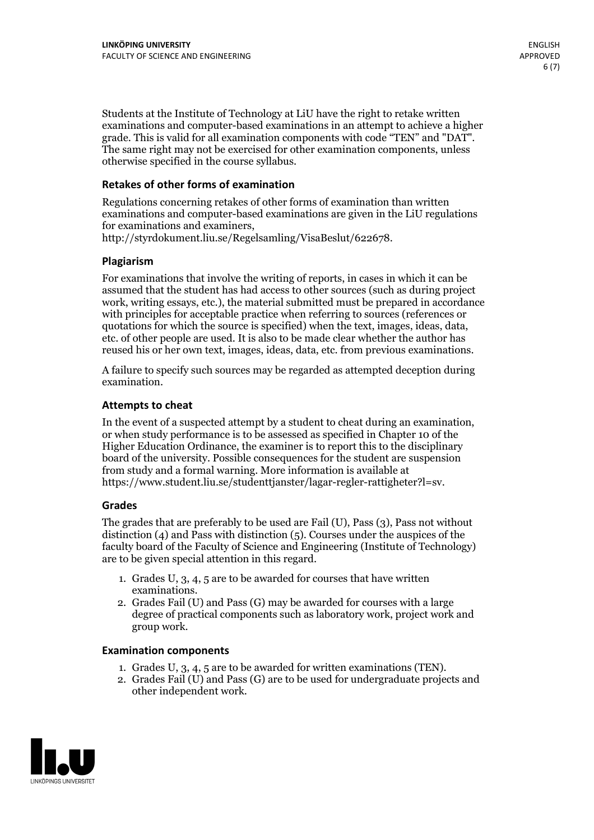Students at the Institute of Technology at LiU have the right to retake written examinations and computer-based examinations in an attempt to achieve a higher grade. This is valid for all examination components with code "TEN" and "DAT". The same right may not be exercised for other examination components, unless otherwise specified in the course syllabus.

#### **Retakes of other forms of examination**

Regulations concerning retakes of other forms of examination than written examinations and computer-based examinations are given in the LiU regulations for examinations and examiners, http://styrdokument.liu.se/Regelsamling/VisaBeslut/622678.

#### **Plagiarism**

For examinations that involve the writing of reports, in cases in which it can be assumed that the student has had access to other sources (such as during project work, writing essays, etc.), the material submitted must be prepared in accordance with principles for acceptable practice when referring to sources (references or quotations for which the source is specified) when the text, images, ideas, data, etc. of other people are used. It is also to be made clear whether the author has reused his or her own text, images, ideas, data, etc. from previous examinations.

A failure to specify such sources may be regarded as attempted deception during examination.

#### **Attempts to cheat**

In the event of <sup>a</sup> suspected attempt by <sup>a</sup> student to cheat during an examination, or when study performance is to be assessed as specified in Chapter <sup>10</sup> of the Higher Education Ordinance, the examiner is to report this to the disciplinary board of the university. Possible consequences for the student are suspension from study and a formal warning. More information is available at https://www.student.liu.se/studenttjanster/lagar-regler-rattigheter?l=sv.

#### **Grades**

The grades that are preferably to be used are Fail (U), Pass (3), Pass not without distinction  $(4)$  and Pass with distinction  $(5)$ . Courses under the auspices of the faculty board of the Faculty of Science and Engineering (Institute of Technology) are to be given special attention in this regard.

- 1. Grades U, 3, 4, 5 are to be awarded for courses that have written
- examinations. 2. Grades Fail (U) and Pass (G) may be awarded for courses with <sup>a</sup> large degree of practical components such as laboratory work, project work and group work.

#### **Examination components**

- 
- 1. Grades U, 3, 4, <sup>5</sup> are to be awarded for written examinations (TEN). 2. Grades Fail (U) and Pass (G) are to be used for undergraduate projects and other independent work.